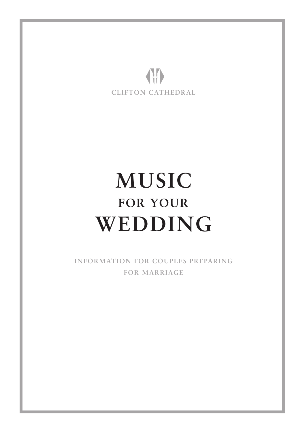

# **MUSIC FOR YOUR WEDDING**

**INFORMATION FOR COUPLES PREPARING FOR MARRIAGE**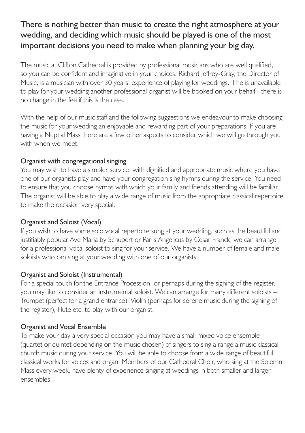## There is nothing better than music to create the right atmosphere at your wedding, and deciding which music should be played is one of the most important decisions you need to make when planning your big day.

The music at Clifton Cathedral is provided by professional musicians who are well qualified, so you can be confident and imaginative in your choices. Richard Jeffrey-Gray, the Director of Music, is a musician with over 30 years' experience of playing for weddings. If he is unavailable to play for your wedding another professional organist will be booked on your behalf - there is no change in the fee if this is the case.

With the help of our music staff and the following suggestions we endeavour to make choosing the music for your wedding an enjoyable and rewarding part of your preparations. If you are having a Nuptial Mass there are a few other aspects to consider which we will go through you with when we meet.

### Organist with congregational singing

You may wish to have a simpler service, with dignified and appropriate music where you have one of our organists play and have your congregation sing hymns during the service. You need to ensure that you choose hymns with which your family and friends attending will be familiar. The organist will be able to play a wide range of music from the appropriate classical repertoire to make the occasion very special.

## Organist and Soloist (Vocal)

If you wish to have some solo vocal repertoire sung at your wedding, such as the beautiful and justifiably popular Ave Maria by Schubert or Panis Angelicus by Cesar Franck, we can arrange for a professional vocal soloist to sing for your service. We have a number of female and male soloists who can sing at your wedding with one of our organists.

## Organist and Soloist (Instrumental)

For a special touch for the Entrance Procession, or perhaps during the signing of the register, you may like to consider an instrumental soloist. We can arrange for many different soloists – Trumpet (perfect for a grand entrance), Violin (perhaps for serene music during the signing of the register), Flute etc. to play with our organist.

## Organist and Vocal Ensemble

To make your day a very special occasion you may have a small mixed voice ensemble (quartet or quintet depending on the music chosen) of singers to sing a range a music classical church music during your service. You will be able to choose from a wide range of beautiful classical works for voices and organ. Members of our Cathedral Choir, who sing at the Solemn Mass every week, have plenty of experience singing at weddings in both smaller and larger ensembles.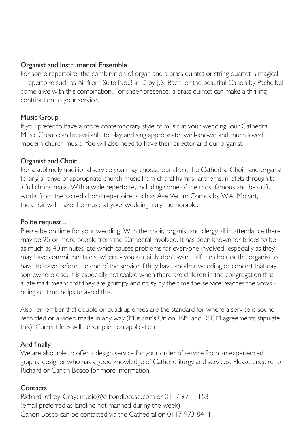#### Organist and Instrumental Ensemble

For some repertoire, the combination of organ and a brass quintet or string quartet is magical – repertoire such as Air from Suite No.3 in D by J.S. Bach, or the beautiful Canon by Pachelbel come alive with this combination. For sheer presence, a brass quintet can make a thrilling contribution to your service.

#### Music Group

If you prefer to have a more contemporary style of music at your wedding, our Cathedral Music Group can be available to play and sing appropriate, well-known and much loved modern church music. You will also need to have their director and our organist.

#### Organist and Choir

For a sublimely traditional service you may choose our choir, the Cathedral Choir, and organist to sing a range of appropriate church music from choral hymns, anthems, motets through to a full choral mass. With a wide repertoire, including some of the most famous and beautiful works from the sacred choral repertoire, such as Ave Verum Corpus by W.A. Mozart, the choir will make the music at your wedding truly memorable.

#### Polite request...

Please be on time for your wedding. With the choir, organist and clergy all in attendance there may be 25 or more people from the Cathedral involved. It has been known for brides to be as much as 40 minutes late which causes problems for everyone involved, especially as they may have commitments elsewhere - you certainly don't want half the choir or the organist to have to leave before the end of the service if they have another wedding or concert that day somewhere else. It is especially noticeable when there are children in the congregation that a late start means that they are grumpy and noisy by the time the service reaches the vows being on time helps to avoid this.

Also remember that double or quadruple fees are the standard for where a service is sound recorded or a video made in any way (Musician's Union, ISM and RSCM agreements stipulate this). Current fees will be supplied on application.

#### And finally

We are also able to offer a design service for your order of service from an experienced graphic designer who has a good knowledge of Catholic liturgy and services. Please enquire to Richard or Canon Bosco for more information.

#### **Contacts**

Richard Jeffrey-Gray: music@cliftondiocese.com or 0117 974 1153 (email preferred as landline not manned during the week) Canon Bosco can be contacted via the Cathedral on 0117 973 8411